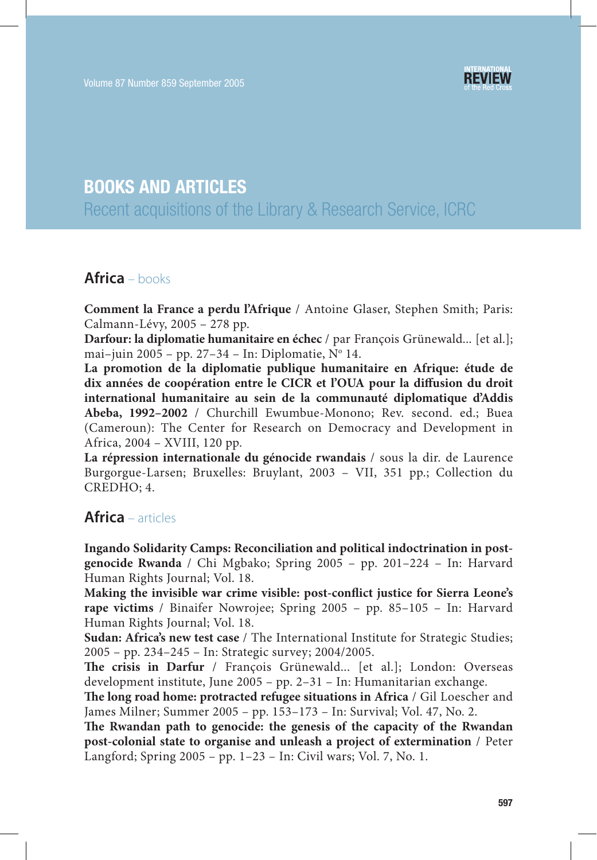

# **BOOKS AND ARTICLES**

Recent acquisitions of the Library & Research Service, ICRC

#### **Africa** – books

**Comment la France a perdu l'Afrique** / Antoine Glaser, Stephen Smith; Paris: Calmann-Lévy, 2005 – 278 pp.

**Darfour: la diplomatie humanitaire en échec** / par François Grünewald... [et al.]; mai-juin 2005 - pp. 27-34 - In: Diplomatie, Nº 14.

**La promotion de la diplomatie publique humanitaire en Afrique: étude de**  dix années de coopération entre le CICR et l'OUA pour la diffusion du droit **international humanitaire au sein de la communauté diplomatique d'Addis Abeba, 1992–2002** / Churchill Ewumbue-Monono; Rev. second. ed.; Buea (Cameroun): The Center for Research on Democracy and Development in Africa, 2004 – XVIII, 120 pp.

**La répression internationale du génocide rwandais** / sous la dir. de Laurence Burgorgue-Larsen; Bruxelles: Bruylant, 2003 – VII, 351 pp.; Collection du CREDHO; 4.

#### **Africa** – articles

**Ingando Solidarity Camps: Reconciliation and political indoctrination in postgenocide Rwanda** / Chi Mgbako; Spring 2005 – pp. 201–224 – In: Harvard Human Rights Journal; Vol. 18.

Making the invisible war crime visible: post-conflict justice for Sierra Leone's **rape victims** / Binaifer Nowrojee; Spring 2005 – pp. 85–105 – In: Harvard Human Rights Journal; Vol. 18.

**Sudan: Africa's new test case** / The International Institute for Strategic Studies; 2005 – pp. 234–245 – In: Strategic survey; 2004/2005.

The crisis in Darfur / François Grünewald... [et al.]; London: Overseas development institute, June 2005 – pp. 2–31 – In: Humanitarian exchange.

**The long road home: protracted refugee situations in Africa** / Gil Loescher and James Milner; Summer 2005 – pp. 153–173 – In: Survival; Vol. 47, No. 2.

The Rwandan path to genocide: the genesis of the capacity of the Rwandan **post-colonial state to organise and unleash a project of extermination** / Peter Langford; Spring 2005 – pp. 1–23 – In: Civil wars; Vol. 7, No. 1.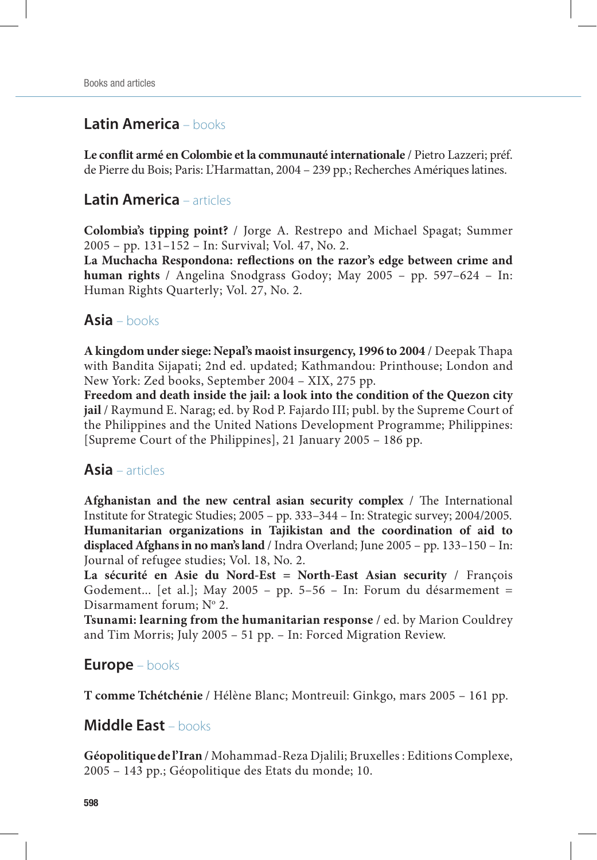# **Latin America** – books

Le conflit armé en Colombie et la communauté internationale / Pietro Lazzeri; préf. de Pierre du Bois; Paris: L'Harmattan, 2004 – 239 pp.; Recherches Amériques latines.

# **Latin America** – articles

**Colombia's tipping point?** / Jorge A. Restrepo and Michael Spagat; Summer 2005 – pp. 131–152 – In: Survival; Vol. 47, No. 2.

La Muchacha Respondona: reflections on the razor's edge between crime and **human rights** / Angelina Snodgrass Godoy; May 2005 – pp. 597–624 – In: Human Rights Quarterly; Vol. 27, No. 2.

#### **Asia** – books

**A kingdom under siege: Nepal's maoist insurgency, 1996 to 2004** / Deepak Thapa with Bandita Sijapati; 2nd ed. updated; Kathmandou: Printhouse; London and New York: Zed books, September 2004 – XIX, 275 pp.

**Freedom and death inside the jail: a look into the condition of the Quezon city jail** / Raymund E. Narag; ed. by Rod P. Fajardo III; publ. by the Supreme Court of the Philippines and the United Nations Development Programme; Philippines: [Supreme Court of the Philippines], 21 January 2005 – 186 pp.

#### **Asia** – articles

**Afghanistan and the new central asian security complex** / The International Institute for Strategic Studies; 2005 – pp. 333–344 – In: Strategic survey; 2004/2005. **Humanitarian organizations in Tajikistan and the coordination of aid to displaced Afghans in no man's land** / Indra Overland; June 2005 – pp. 133–150 – In: Journal of refugee studies; Vol. 18, No. 2.

**La sécurité en Asie du Nord-Est = North-East Asian security** / François Godement... [et al.]; May 2005 – pp. 5–56 – In: Forum du désarmement = Disarmament forum; Nº 2.

**Tsunami: learning from the humanitarian response** / ed. by Marion Couldrey and Tim Morris; July 2005 – 51 pp. – In: Forced Migration Review.

## **Europe** – books

**T comme Tchétchénie** / Hélène Blanc; Montreuil: Ginkgo, mars 2005 – 161 pp.

## **Middle East** – books

**Géopolitique de l'Iran** / Mohammad-Reza Djalili; Bruxelles : Editions Complexe, 2005 – 143 pp.; Géopolitique des Etats du monde; 10.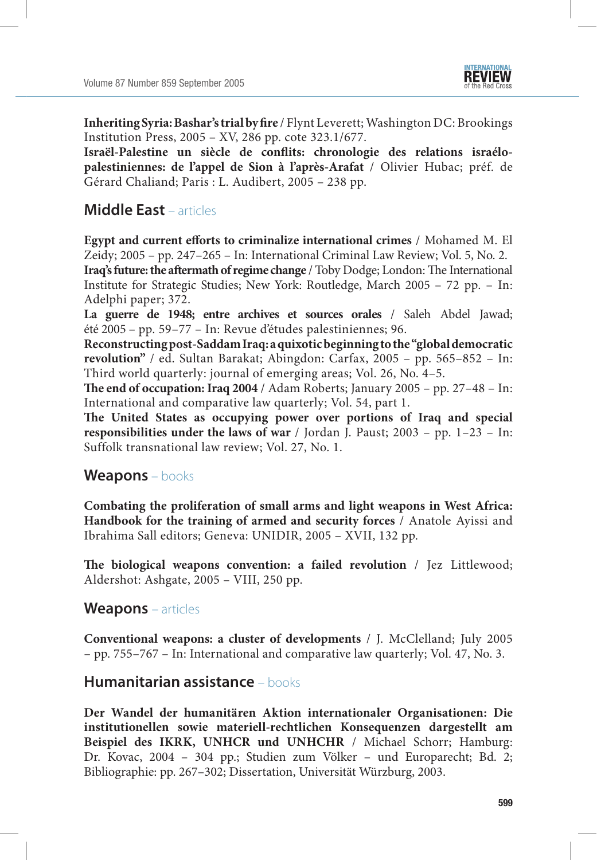**Inheriting Syria: Bashar's trial by fire** / Flynt Leverett; Washington DC: Brookings Institution Press, 2005 – XV, 286 pp. cote 323.1/677.

Israël-Palestine un siècle de conflits: chronologie des relations israélo**palestiniennes: de l'appel de Sion à l'après-Arafat** / Olivier Hubac; préf. de Gérard Chaliand; Paris : L. Audibert, 2005 – 238 pp.

## **Middle East** – articles

**Egypt and current efforts to criminalize international crimes** / Mohamed M. El Zeidy; 2005 – pp. 247–265 – In: International Criminal Law Review; Vol. 5, No. 2.

**Iraq's future: the aftermath of regime change** / Toby Dodge; London: The International Institute for Strategic Studies; New York: Routledge, March 2005 – 72 pp. – In: Adelphi paper; 372.

**La guerre de 1948; entre archives et sources orales** / Saleh Abdel Jawad; été 2005 – pp. 59–77 – In: Revue d'études palestiniennes; 96.

**Reconstructing post-Saddam Iraq: a quixotic beginning to the "global democratic revolution"** / ed. Sultan Barakat; Abingdon: Carfax, 2005 – pp. 565–852 – In: Third world quarterly: journal of emerging areas; Vol. 26, No. 4–5.

**The end of occupation: Iraq 2004** / Adam Roberts; January 2005 – pp. 27-48 – In: International and comparative law quarterly; Vol. 54, part 1.

The United States as occupying power over portions of Iraq and special **responsibilities under the laws of war** / Jordan J. Paust; 2003 – pp. 1–23 – In: Suffolk transnational law review; Vol. 27, No. 1.

#### **Weapons** – books

**Combating the proliferation of small arms and light weapons in West Africa: Handbook for the training of armed and security forces** / Anatole Ayissi and Ibrahima Sall editors; Geneva: UNIDIR, 2005 – XVII, 132 pp.

**The biological weapons convention: a failed revolution** / Jez Littlewood; Aldershot: Ashgate, 2005 – VIII, 250 pp.

#### **Weapons** – articles

**Conventional weapons: a cluster of developments** / J. McClelland; July 2005 – pp. 755–767 – In: International and comparative law quarterly; Vol. 47, No. 3.

#### **Humanitarian assistance** – books

**Der Wandel der humanitären Aktion internationaler Organisationen: Die institutionellen sowie materiell-rechtlichen Konsequenzen dargestellt am Beispiel des IKRK, UNHCR und UNHCHR** / Michael Schorr; Hamburg: Dr. Kovac, 2004 – 304 pp.; Studien zum Völker – und Europarecht; Bd. 2; Bibliographie: pp. 267–302; Dissertation, Universität Würzburg, 2003.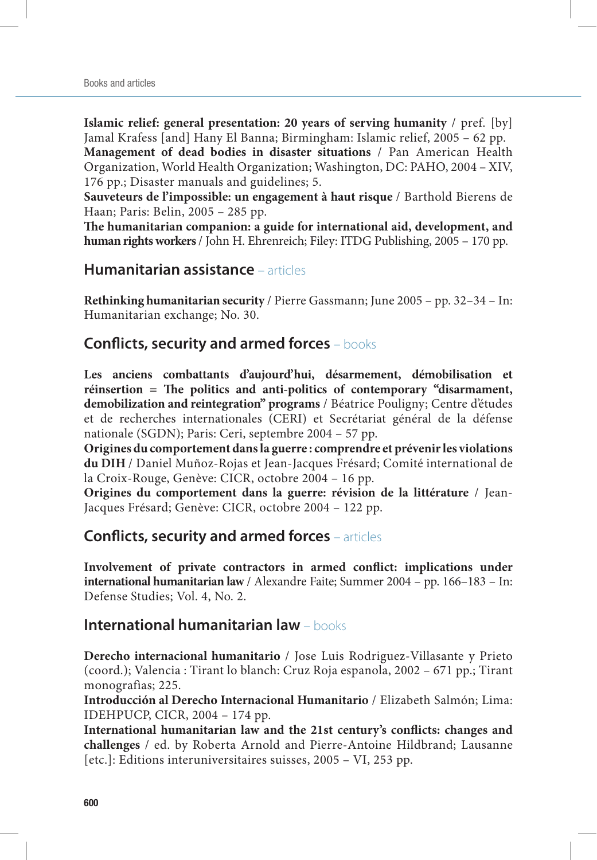**Islamic relief: general presentation: 20 years of serving humanity** / pref. [by] Jamal Krafess [and] Hany El Banna; Birmingham: Islamic relief, 2005 – 62 pp. **Management of dead bodies in disaster situations** / Pan American Health Organization, World Health Organization; Washington, DC: PAHO, 2004 – XIV,

176 pp.; Disaster manuals and guidelines; 5.

**Sauveteurs de l'impossible: un engagement à haut risque** / Barthold Bierens de Haan; Paris: Belin, 2005 – 285 pp.

The humanitarian companion: a guide for international aid, development, and **human rights workers** / John H. Ehrenreich; Filey: ITDG Publishing, 2005 – 170 pp.

#### **Humanitarian assistance** – articles

**Rethinking humanitarian security** / Pierre Gassmann; June 2005 – pp. 32–34 – In: Humanitarian exchange; No. 30.

## **Conflicts, security and armed forces** – books

**Les anciens combattants d'aujourd'hui, désarmement, démobilisation et**  réinsertion = The politics and anti-politics of contemporary "disarmament, **demobilization and reintegration" programs** / Béatrice Pouligny; Centre d'études et de recherches internationales (CERI) et Secrétariat général de la défense nationale (SGDN); Paris: Ceri, septembre 2004 – 57 pp.

**Origines du comportement dans la guerre : comprendre et prévenir les violations du DIH** / Daniel Muñoz-Rojas et Jean-Jacques Frésard; Comité international de la Croix-Rouge, Genève: CICR, octobre 2004 – 16 pp.

**Origines du comportement dans la guerre: révision de la littérature** / Jean-Jacques Frésard; Genève: CICR, octobre 2004 – 122 pp.

## **Conflicts, security and armed forces** – articles

Involvement of private contractors in armed conflict: implications under **international humanitarian law** / Alexandre Faite; Summer 2004 – pp. 166–183 – In: Defense Studies; Vol. 4, No. 2.

#### **International humanitarian law** – books

**Derecho internacional humanitario** / Jose Luis Rodriguez-Villasante y Prieto (coord.); Valencia : Tirant lo blanch: Cruz Roja espanola, 2002 – 671 pp.; Tirant monografìas; 225.

**Introducción al Derecho Internacional Humanitario** / Elizabeth Salmón; Lima: IDEHPUCP, CICR, 2004 – 174 pp.

International humanitarian law and the 21st century's conflicts: changes and **challenges** / ed. by Roberta Arnold and Pierre-Antoine Hildbrand; Lausanne [etc.]: Editions interuniversitaires suisses, 2005 – VI, 253 pp.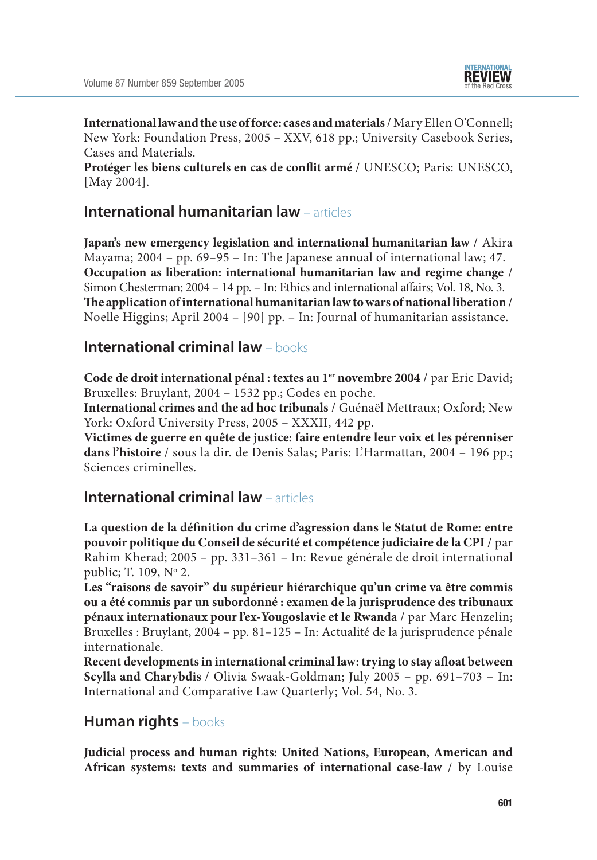

**International law and the use of force: cases and materials** / Mary Ellen O'Connell; New York: Foundation Press, 2005 – XXV, 618 pp.; University Casebook Series, Cases and Materials.

Protéger les biens culturels en cas de conflit armé / UNESCO; Paris: UNESCO, [May 2004].

#### **International humanitarian law** – articles

**Japan's new emergency legislation and international humanitarian law** / Akira Mayama; 2004 – pp. 69–95 – In: The Japanese annual of international law; 47. **Occupation as liberation: international humanitarian law and regime change** / Simon Chesterman; 2004 – 14 pp. – In: Ethics and international affairs; Vol. 18, No. 3. The application of international humanitarian law to wars of national liberation / Noelle Higgins; April 2004 – [90] pp. – In: Journal of humanitarian assistance.

#### **International criminal law** – books

**Code de droit international pénal : textes au 1er novembre 2004** / par Eric David; Bruxelles: Bruylant, 2004 – 1532 pp.; Codes en poche.

**International crimes and the ad hoc tribunals** / Guénaël Mettraux; Oxford; New York: Oxford University Press, 2005 – XXXII, 442 pp.

**Victimes de guerre en quête de justice: faire entendre leur voix et les pérenniser dans l'histoire** / sous la dir. de Denis Salas; Paris: L'Harmattan, 2004 – 196 pp.; Sciences criminelles.

## **International criminal law** – articles

La question de la définition du crime d'agression dans le Statut de Rome: entre **pouvoir politique du Conseil de sécurité et compétence judiciaire de la CPI** / par Rahim Kherad; 2005 – pp. 331–361 – In: Revue générale de droit international public; T. 109, Nº 2.

**Les "raisons de savoir" du supérieur hiérarchique qu'un crime va être commis ou a été commis par un subordonné : examen de la jurisprudence des tribunaux pénaux internationaux pour l'ex-Yougoslavie et le Rwanda** / par Marc Henzelin; Bruxelles : Bruylant, 2004 – pp. 81–125 – In: Actualité de la jurisprudence pénale internationale.

Recent developments in international criminal law: trying to stay afloat between **Scylla and Charybdis** / Olivia Swaak-Goldman; July 2005 – pp. 691–703 – In: International and Comparative Law Quarterly; Vol. 54, No. 3.

## **Human rights** – books

**Judicial process and human rights: United Nations, European, American and African systems: texts and summaries of international case-law** / by Louise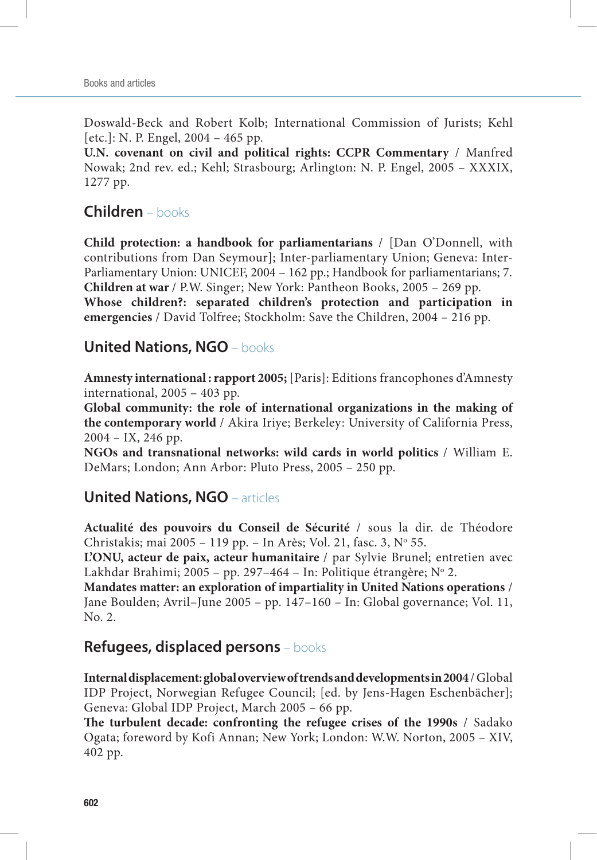Doswald-Beck and Robert Kolb; International Commission of Jurists; Kehl [etc.]: N. P. Engel, 2004 – 465 pp.

**U.N. covenant on civil and political rights: CCPR Commentary** / Manfred Nowak; 2nd rev. ed.; Kehl; Strasbourg; Arlington: N. P. Engel, 2005 – XXXIX, 1277 pp.

## **Children** – books

**Child protection: a handbook for parliamentarians** / [Dan O'Donnell, with contributions from Dan Seymour]; Inter-parliamentary Union; Geneva: Inter-Parliamentary Union: UNICEF, 2004 – 162 pp.; Handbook for parliamentarians; 7. **Children at war** / P.W. Singer; New York: Pantheon Books, 2005 – 269 pp. **Whose children?: separated children's protection and participation in emergencies** / David Tolfree; Stockholm: Save the Children, 2004 – 216 pp.

#### **United Nations, NGO** – books

**Amnesty international : rapport 2005;** [Paris]: Editions francophones d'Amnesty international, 2005 – 403 pp.

**Global community: the role of international organizations in the making of the contemporary world** / Akira Iriye; Berkeley: University of California Press, 2004 – IX, 246 pp.

**NGOs and transnational networks: wild cards in world politics** / William E. DeMars; London; Ann Arbor: Pluto Press, 2005 – 250 pp.

## **United Nations, NGO** – articles

**Actualité des pouvoirs du Conseil de Sécurité** / sous la dir. de Théodore Christakis; mai 2005 - 119 pp. - In Arès; Vol. 21, fasc. 3, Nº 55.

**L'ONU, acteur de paix, acteur humanitaire** / par Sylvie Brunel; entretien avec Lakhdar Brahimi; 2005 - pp. 297-464 - In: Politique étrangère; Nº 2.

**Mandates matter: an exploration of impartiality in United Nations operations** / Jane Boulden; Avril–June 2005 – pp. 147–160 – In: Global governance; Vol. 11, No. 2.

## **Refugees, displaced persons** – books

**Internal displacement: global overview of trends and developments in 2004** / Global IDP Project, Norwegian Refugee Council; [ed. by Jens-Hagen Eschenbächer]; Geneva: Global IDP Project, March 2005 – 66 pp.

The turbulent decade: confronting the refugee crises of the 1990s / Sadako Ogata; foreword by Kofi Annan; New York; London: W.W. Norton, 2005 – XIV, 402 pp.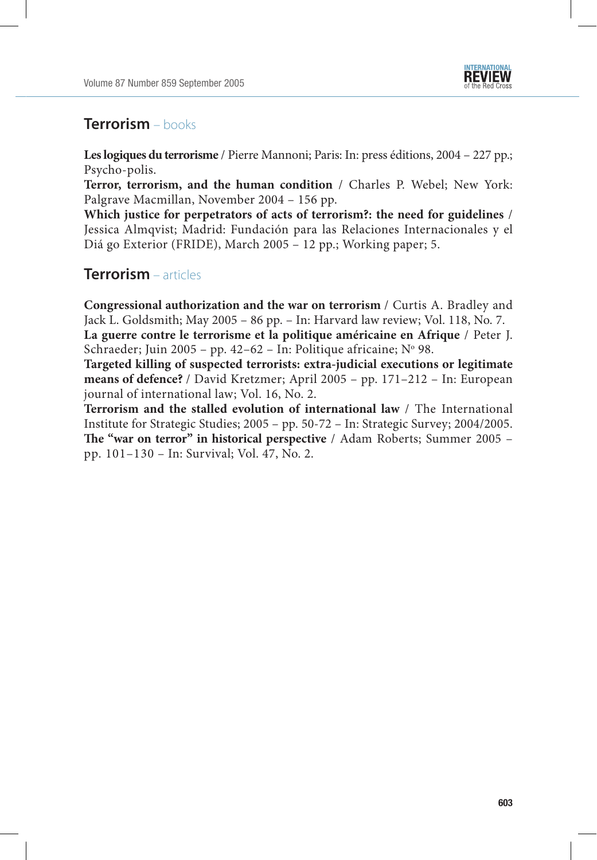

## **Terrorism** – books

**Les logiques du terrorisme** / Pierre Mannoni; Paris: In: press éditions, 2004 – 227 pp.; Psycho-polis.

**Terror, terrorism, and the human condition** / Charles P. Webel; New York: Palgrave Macmillan, November 2004 – 156 pp.

**Which justice for perpetrators of acts of terrorism?: the need for guidelines** / Jessica Almqvist; Madrid: Fundación para las Relaciones Internacionales y el Diá go Exterior (FRIDE), March 2005 – 12 pp.; Working paper; 5.

## **Terrorism** – articles

**Congressional authorization and the war on terrorism** / Curtis A. Bradley and Jack L. Goldsmith; May 2005 – 86 pp. – In: Harvard law review; Vol. 118, No. 7.

**La guerre contre le terrorisme et la politique américaine en Afrique** / Peter J. Schraeder; Juin 2005 - pp. 42-62 - In: Politique africaine; Nº 98.

**Targeted killing of suspected terrorists: extra-judicial executions or legitimate means of defence?** / David Kretzmer; April 2005 – pp. 171–212 – In: European journal of international law; Vol. 16, No. 2.

**Terrorism and the stalled evolution of international law** / The International Institute for Strategic Studies; 2005 – pp. 50-72 – In: Strategic Survey; 2004/2005. **The "war on terror" in historical perspective** / Adam Roberts; Summer 2005 – pp. 101–130 – In: Survival; Vol. 47, No. 2.